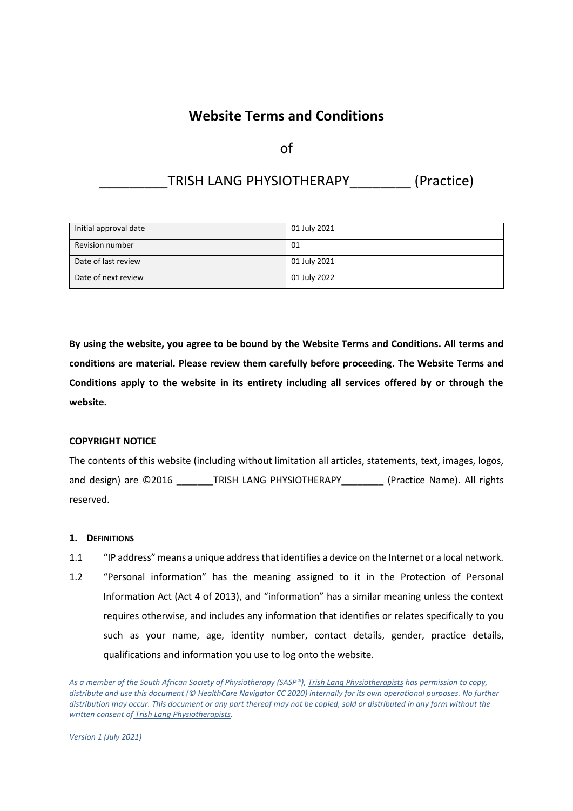## **Website Terms and Conditions**

of

# TRISH LANG PHYSIOTHERAPY [Practice]

| Initial approval date | 01 July 2021 |
|-----------------------|--------------|
| Revision number       | 01           |
| Date of last review   | 01 July 2021 |
| Date of next review   | 01 July 2022 |

**By using the website, you agree to be bound by the Website Terms and Conditions. All terms and conditions are material. Please review them carefully before proceeding. The Website Terms and Conditions apply to the website in its entirety including all services offered by or through the website.** 

## **COPYRIGHT NOTICE**

The contents of this website (including without limitation all articles, statements, text, images, logos, and design) are ©2016 TRISH LANG PHYSIOTHERAPY (Practice Name). All rights reserved.

## **1. DEFINITIONS**

- 1.1 "IP address" means a unique address that identifies a device on the Internet or a local network.
- 1.2 "Personal information" has the meaning assigned to it in the Protection of Personal Information Act (Act 4 of 2013), and "information" has a similar meaning unless the context requires otherwise, and includes any information that identifies or relates specifically to you such as your name, age, identity number, contact details, gender, practice details, qualifications and information you use to log onto the website.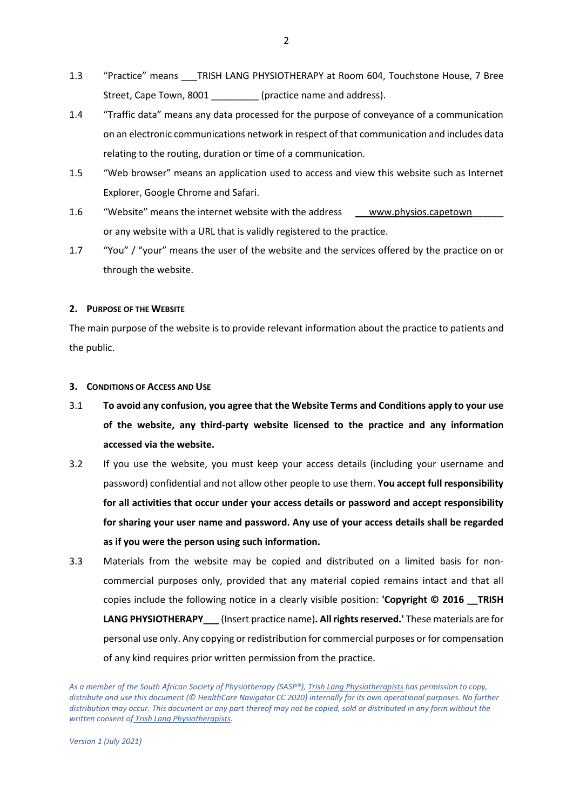- 1.3 "Practice" means \_\_\_TRISH LANG PHYSIOTHERAPY at Room 604, Touchstone House, 7 Bree Street, Cape Town, 8001 [practice name and address).
- 1.4 "Traffic data" means any data processed for the purpose of conveyance of a communication on an electronic communications network in respect of that communication and includes data relating to the routing, duration or time of a communication.
- 1.5 "Web browser" means an application used to access and view this website such as Internet Explorer, Google Chrome and Safari.
- 1.6 "Website" means the internet website with the address [www.p](http://www./)hysios.capetown or any website with a URL that is validly registered to the practice.
- 1.7 "You" / "your" means the user of the website and the services offered by the practice on or through the website.

### **2. PURPOSE OF THE WEBSITE**

The main purpose of the website is to provide relevant information about the practice to patients and the public.

### **3. CONDITIONS OF ACCESS AND USE**

- 3.1 **To avoid any confusion, you agree that the Website Terms and Conditions apply to your use of the website, any third-party website licensed to the practice and any information accessed via the website.**
- 3.2 If you use the website, you must keep your access details (including your username and password) confidential and not allow other people to use them. **You accept full responsibility for all activities that occur under your access details or password and accept responsibility for sharing your user name and password. Any use of your access details shall be regarded as if you were the person using such information.**
- 3.3 Materials from the website may be copied and distributed on a limited basis for noncommercial purposes only, provided that any material copied remains intact and that all copies include the following notice in a clearly visible position: 'Copyright © 2016 TRISH **LANG PHYSIOTHERAPY\_\_\_** (Insert practice name)**. All rights reserved.'** These materials are for personal use only. Any copying or redistribution for commercial purposes or for compensation of any kind requires prior written permission from the practice.

*As a member of the South African Society of Physiotherapy (SASP®), Trish Lang Physiotherapists has permission to copy, distribute and use this document (© HealthCare Navigator CC 2020) internally for its own operational purposes. No further distribution may occur. This document or any part thereof may not be copied, sold or distributed in any form without the written consent of Trish Lang Physiotherapists.*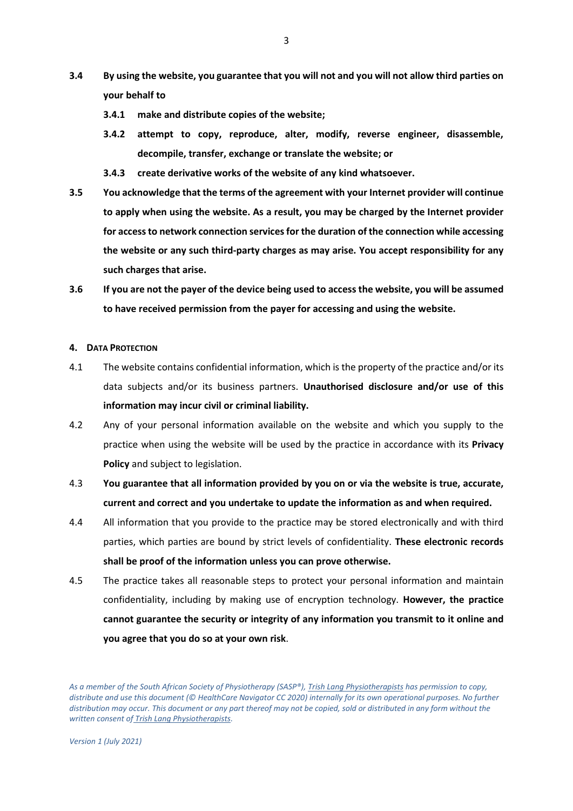- **3.4 By using the website, you guarantee that you will not and you will not allow third parties on your behalf to** 
	- **3.4.1 make and distribute copies of the website;**
	- **3.4.2 attempt to copy, reproduce, alter, modify, reverse engineer, disassemble, decompile, transfer, exchange or translate the website; or**
	- **3.4.3 create derivative works of the website of any kind whatsoever.**
- **3.5 You acknowledge that the terms of the agreement with your Internet provider will continue to apply when using the website. As a result, you may be charged by the Internet provider for access to network connection services for the duration of the connection while accessing the website or any such third-party charges as may arise. You accept responsibility for any such charges that arise.**
- **3.6 If you are not the payer of the device being used to access the website, you will be assumed to have received permission from the payer for accessing and using the website.**

#### **4. DATA PROTECTION**

- 4.1 The website contains confidential information, which is the property of the practice and/or its data subjects and/or its business partners. **Unauthorised disclosure and/or use of this information may incur civil or criminal liability.**
- 4.2 Any of your personal information available on the website and which you supply to the practice when using the website will be used by the practice in accordance with its **Privacy Policy** and subject to legislation.
- 4.3 **You guarantee that all information provided by you on or via the website is true, accurate, current and correct and you undertake to update the information as and when required.**
- 4.4 All information that you provide to the practice may be stored electronically and with third parties, which parties are bound by strict levels of confidentiality. **These electronic records shall be proof of the information unless you can prove otherwise.**
- 4.5 The practice takes all reasonable steps to protect your personal information and maintain confidentiality, including by making use of encryption technology. **However, the practice cannot guarantee the security or integrity of any information you transmit to it online and you agree that you do so at your own risk**.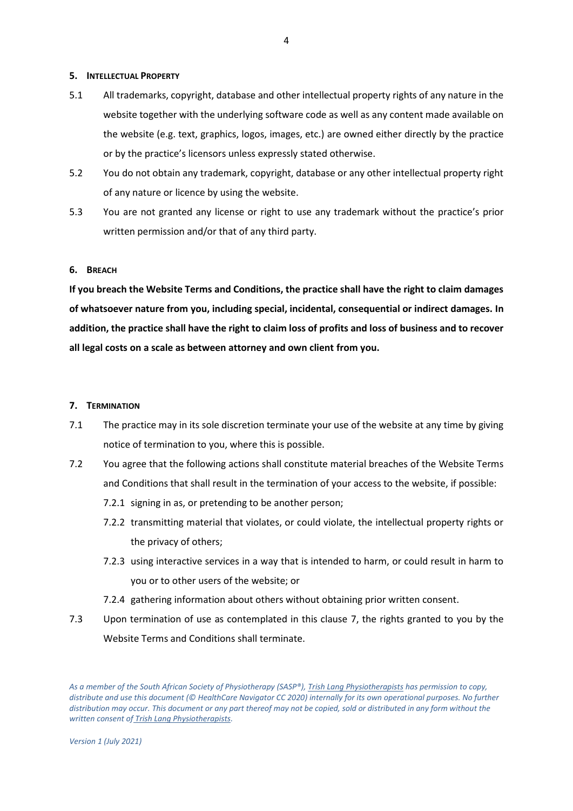#### **5. INTELLECTUAL PROPERTY**

- 5.1 All trademarks, copyright, database and other intellectual property rights of any nature in the website together with the underlying software code as well as any content made available on the website (e.g. text, graphics, logos, images, etc.) are owned either directly by the practice or by the practice's licensors unless expressly stated otherwise.
- 5.2 You do not obtain any trademark, copyright, database or any other intellectual property right of any nature or licence by using the website.
- 5.3 You are not granted any license or right to use any trademark without the practice's prior written permission and/or that of any third party.

## **6. BREACH**

**If you breach the Website Terms and Conditions, the practice shall have the right to claim damages of whatsoever nature from you, including special, incidental, consequential or indirect damages. In addition, the practice shall have the right to claim loss of profits and loss of business and to recover all legal costs on a scale as between attorney and own client from you.**

#### **7. TERMINATION**

- 7.1 The practice may in its sole discretion terminate your use of the website at any time by giving notice of termination to you, where this is possible.
- 7.2 You agree that the following actions shall constitute material breaches of the Website Terms and Conditions that shall result in the termination of your access to the website, if possible:
	- 7.2.1 signing in as, or pretending to be another person;
	- 7.2.2 transmitting material that violates, or could violate, the intellectual property rights or the privacy of others;
	- 7.2.3 using interactive services in a way that is intended to harm, or could result in harm to you or to other users of the website; or
	- 7.2.4 gathering information about others without obtaining prior written consent.
- 7.3 Upon termination of use as contemplated in this clause 7, the rights granted to you by the Website Terms and Conditions shall terminate.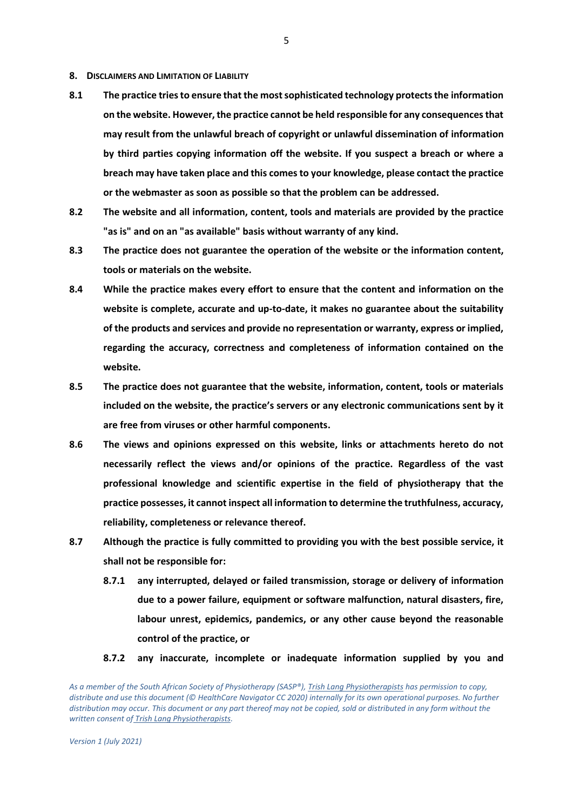- **8. DISCLAIMERS AND LIMITATION OF LIABILITY**
- **8.1 The practice tries to ensure that the most sophisticated technology protects the information on the website. However, the practice cannot be held responsible for any consequences that may result from the unlawful breach of copyright or unlawful dissemination of information by third parties copying information off the website. If you suspect a breach or where a breach may have taken place and this comes to your knowledge, please contact the practice or the webmaster as soon as possible so that the problem can be addressed.**
- **8.2 The website and all information, content, tools and materials are provided by the practice "as is" and on an "as available" basis without warranty of any kind.**
- **8.3 The practice does not guarantee the operation of the website or the information content, tools or materials on the website.**
- **8.4 While the practice makes every effort to ensure that the content and information on the website is complete, accurate and up-to-date, it makes no guarantee about the suitability of the products and services and provide no representation or warranty, express or implied, regarding the accuracy, correctness and completeness of information contained on the website.**
- **8.5 The practice does not guarantee that the website, information, content, tools or materials included on the website, the practice's servers or any electronic communications sent by it are free from viruses or other harmful components.**
- **8.6 The views and opinions expressed on this website, links or attachments hereto do not necessarily reflect the views and/or opinions of the practice. Regardless of the vast professional knowledge and scientific expertise in the field of physiotherapy that the practice possesses, it cannot inspect all information to determine the truthfulness, accuracy, reliability, completeness or relevance thereof.**
- **8.7 Although the practice is fully committed to providing you with the best possible service, it shall not be responsible for:**
	- **8.7.1 any interrupted, delayed or failed transmission, storage or delivery of information due to a power failure, equipment or software malfunction, natural disasters, fire, labour unrest, epidemics, pandemics, or any other cause beyond the reasonable control of the practice, or**
	- **8.7.2 any inaccurate, incomplete or inadequate information supplied by you and**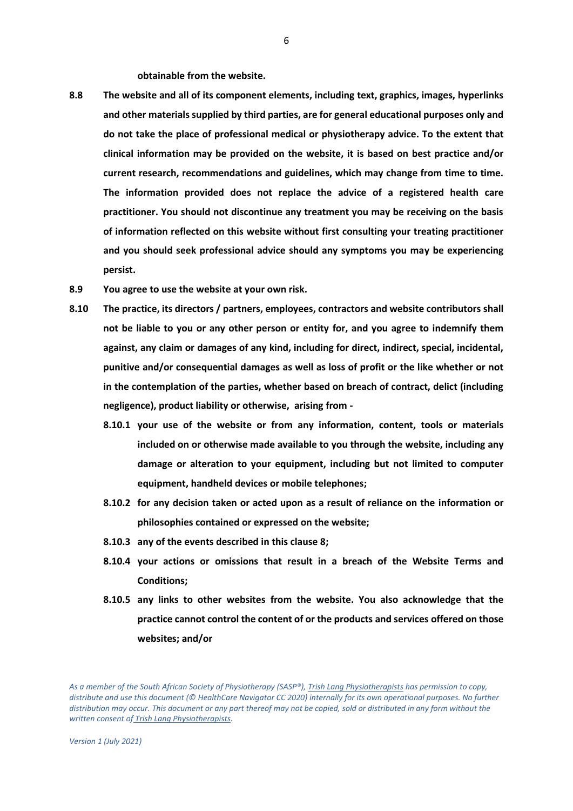**obtainable from the website.**

- **8.8 The website and all of its component elements, including text, graphics, images, hyperlinks and other materials supplied by third parties, are for general educational purposes only and do not take the place of professional medical or physiotherapy advice. To the extent that clinical information may be provided on the website, it is based on best practice and/or current research, recommendations and guidelines, which may change from time to time. The information provided does not replace the advice of a registered health care practitioner. You should not discontinue any treatment you may be receiving on the basis of information reflected on this website without first consulting your treating practitioner and you should seek professional advice should any symptoms you may be experiencing persist.**
- **8.9 You agree to use the website at your own risk.**
- **8.10 The practice, its directors / partners, employees, contractors and website contributors shall not be liable to you or any other person or entity for, and you agree to indemnify them against, any claim or damages of any kind, including for direct, indirect, special, incidental, punitive and/or consequential damages as well as loss of profit or the like whether or not in the contemplation of the parties, whether based on breach of contract, delict (including negligence), product liability or otherwise, arising from -**
	- **8.10.1 your use of the website or from any information, content, tools or materials included on or otherwise made available to you through the website, including any damage or alteration to your equipment, including but not limited to computer equipment, handheld devices or mobile telephones;**
	- **8.10.2 for any decision taken or acted upon as a result of reliance on the information or philosophies contained or expressed on the website;**
	- **8.10.3 any of the events described in this clause 8;**
	- **8.10.4 your actions or omissions that result in a breach of the Website Terms and Conditions;**
	- **8.10.5 any links to other websites from the website. You also acknowledge that the practice cannot control the content of or the products and services offered on those websites; and/or**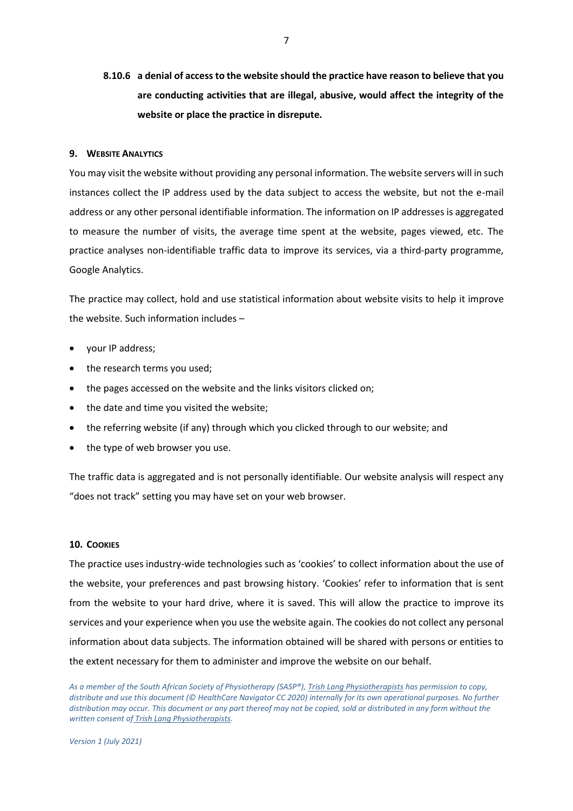**8.10.6 a denial of access to the website should the practice have reason to believe that you are conducting activities that are illegal, abusive, would affect the integrity of the website or place the practice in disrepute.**

#### **9. WEBSITE ANALYTICS**

You may visit the website without providing any personal information. The website servers will in such instances collect the IP address used by the data subject to access the website, but not the e-mail address or any other personal identifiable information. The information on IP addresses is aggregated to measure the number of visits, the average time spent at the website, pages viewed, etc. The practice analyses non-identifiable traffic data to improve its services, via a third-party programme, Google Analytics.

The practice may collect, hold and use statistical information about website visits to help it improve the website. Such information includes –

- your IP address;
- the research terms you used:
- the pages accessed on the website and the links visitors clicked on;
- the date and time you visited the website;
- the referring website (if any) through which you clicked through to our website; and
- the type of web browser you use.

The traffic data is aggregated and is not personally identifiable. Our website analysis will respect any "does not track" setting you may have set on your web browser.

## **10. COOKIES**

The practice uses industry-wide technologies such as 'cookies' to collect information about the use of the website, your preferences and past browsing history. 'Cookies' refer to information that is sent from the website to your hard drive, where it is saved. This will allow the practice to improve its services and your experience when you use the website again. The cookies do not collect any personal information about data subjects. The information obtained will be shared with persons or entities to the extent necessary for them to administer and improve the website on our behalf.

*As a member of the South African Society of Physiotherapy (SASP®), Trish Lang Physiotherapists has permission to copy, distribute and use this document (© HealthCare Navigator CC 2020) internally for its own operational purposes. No further distribution may occur. This document or any part thereof may not be copied, sold or distributed in any form without the written consent of Trish Lang Physiotherapists.* 

*Version 1 (July 2021)*